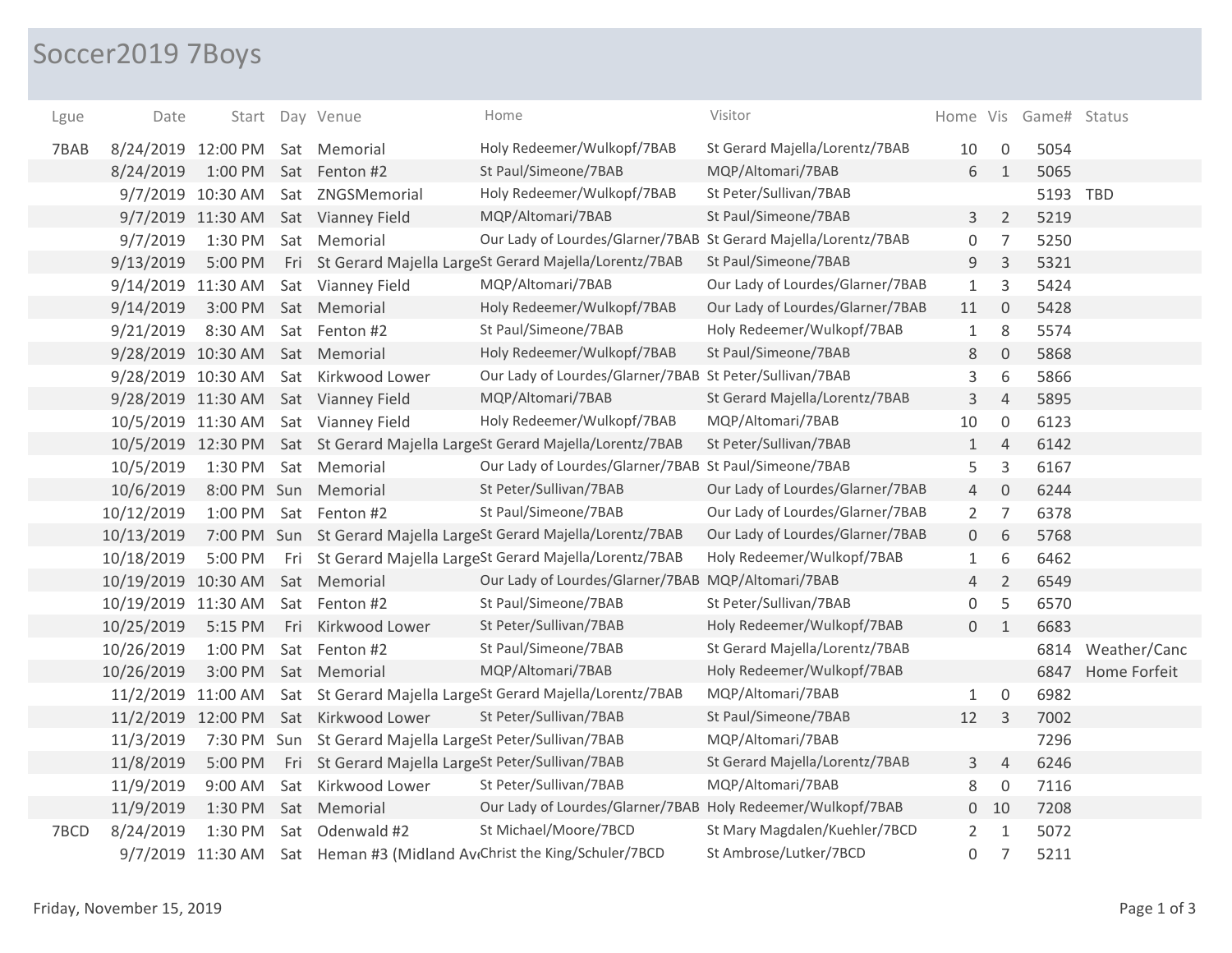## Soccer2019 7Boys

| Lgue | Date                            |                   |     | Start Day Venue                                           | Home                                                                         | Visitor                          |                |                     | Home Vis Game# Status |              |
|------|---------------------------------|-------------------|-----|-----------------------------------------------------------|------------------------------------------------------------------------------|----------------------------------|----------------|---------------------|-----------------------|--------------|
| 7BAB | 8/24/2019 12:00 PM Sat Memorial |                   |     |                                                           | Holy Redeemer/Wulkopf/7BAB                                                   | St Gerard Majella/Lorentz/7BAB   | 10             | $\mathbf 0$         | 5054                  |              |
|      | 8/24/2019                       |                   |     | 1:00 PM Sat Fenton #2                                     | St Paul/Simeone/7BAB                                                         | MQP/Altomari/7BAB                | 6              | $\mathbf{1}$        | 5065                  |              |
|      |                                 | 9/7/2019 10:30 AM |     | Sat ZNGSMemorial                                          | Holy Redeemer/Wulkopf/7BAB                                                   | St Peter/Sullivan/7BAB           |                |                     | 5193 TBD              |              |
|      |                                 | 9/7/2019 11:30 AM |     | Sat Vianney Field                                         | MQP/Altomari/7BAB                                                            | St Paul/Simeone/7BAB             | 3              | $\overline{2}$      | 5219                  |              |
|      | 9/7/2019                        | 1:30 PM           |     | Sat Memorial                                              | Our Lady of Lourdes/Glarner/7BAB St Gerard Majella/Lorentz/7BAB              |                                  | 0              | $\overline{7}$      | 5250                  |              |
|      | 9/13/2019                       | 5:00 PM           |     |                                                           | Fri St Gerard Majella LargeSt Gerard Majella/Lorentz/7BAB                    | St Paul/Simeone/7BAB             | 9              | $\overline{3}$      | 5321                  |              |
|      | 9/14/2019 11:30 AM              |                   |     | Sat Vianney Field                                         | MQP/Altomari/7BAB                                                            | Our Lady of Lourdes/Glarner/7BAB | $\mathbf{1}$   | 3                   | 5424                  |              |
|      | 9/14/2019                       | 3:00 PM           |     | Sat Memorial                                              | Holy Redeemer/Wulkopf/7BAB                                                   | Our Lady of Lourdes/Glarner/7BAB | 11             | $\mathbf 0$         | 5428                  |              |
|      | 9/21/2019                       | 8:30 AM           |     | Sat Fenton #2                                             | St Paul/Simeone/7BAB                                                         | Holy Redeemer/Wulkopf/7BAB       | $\mathbf{1}$   | 8                   | 5574                  |              |
|      | 9/28/2019 10:30 AM              |                   |     | Sat Memorial                                              | Holy Redeemer/Wulkopf/7BAB                                                   | St Paul/Simeone/7BAB             | 8              | $\mathsf{O}\xspace$ | 5868                  |              |
|      | 9/28/2019 10:30 AM              |                   |     | Sat Kirkwood Lower                                        | Our Lady of Lourdes/Glarner/7BAB St Peter/Sullivan/7BAB                      |                                  | 3              | 6                   | 5866                  |              |
|      |                                 |                   |     | 9/28/2019 11:30 AM Sat Vianney Field                      | MQP/Altomari/7BAB                                                            | St Gerard Majella/Lorentz/7BAB   | 3              | $\overline{4}$      | 5895                  |              |
|      |                                 |                   |     | 10/5/2019 11:30 AM Sat Vianney Field                      | Holy Redeemer/Wulkopf/7BAB                                                   | MQP/Altomari/7BAB                | 10             | $\mathbf 0$         | 6123                  |              |
|      |                                 |                   |     |                                                           | 10/5/2019 12:30 PM Sat St Gerard Majella LargeSt Gerard Majella/Lorentz/7BAB | St Peter/Sullivan/7BAB           | $\mathbf{1}$   | $\overline{4}$      | 6142                  |              |
|      | 10/5/2019                       | 1:30 PM           |     | Sat Memorial                                              | Our Lady of Lourdes/Glarner/7BAB St Paul/Simeone/7BAB                        |                                  | 5              | $\mathsf 3$         | 6167                  |              |
|      | 10/6/2019                       |                   |     | 8:00 PM Sun Memorial                                      | St Peter/Sullivan/7BAB                                                       | Our Lady of Lourdes/Glarner/7BAB | 4              | $\mathbf 0$         | 6244                  |              |
|      | 10/12/2019                      | 1:00 PM           |     | Sat Fenton #2                                             | St Paul/Simeone/7BAB                                                         | Our Lady of Lourdes/Glarner/7BAB | $\overline{2}$ | $\overline{7}$      | 6378                  |              |
|      | 10/13/2019                      |                   |     |                                                           | 7:00 PM Sun St Gerard Majella LargeSt Gerard Majella/Lorentz/7BAB            | Our Lady of Lourdes/Glarner/7BAB | 0              | 6                   | 5768                  |              |
|      | 10/18/2019                      | 5:00 PM           |     |                                                           | Fri St Gerard Majella LargeSt Gerard Majella/Lorentz/7BAB                    | Holy Redeemer/Wulkopf/7BAB       | $\mathbf{1}$   | 6                   | 6462                  |              |
|      | 10/19/2019 10:30 AM             |                   |     | Sat Memorial                                              | Our Lady of Lourdes/Glarner/7BAB MQP/Altomari/7BAB                           |                                  | 4              | $\overline{2}$      | 6549                  |              |
|      | 10/19/2019 11:30 AM             |                   |     | Sat Fenton #2                                             | St Paul/Simeone/7BAB                                                         | St Peter/Sullivan/7BAB           | 0              | 5                   | 6570                  |              |
|      | 10/25/2019                      | 5:15 PM           | Fri | Kirkwood Lower                                            | St Peter/Sullivan/7BAB                                                       | Holy Redeemer/Wulkopf/7BAB       | $\overline{0}$ | $\overline{1}$      | 6683                  |              |
|      | 10/26/2019                      | 1:00 PM           | Sat | Fenton #2                                                 | St Paul/Simeone/7BAB                                                         | St Gerard Majella/Lorentz/7BAB   |                |                     | 6814                  | Weather/Canc |
|      | 10/26/2019                      | 3:00 PM           |     | Sat Memorial                                              | MQP/Altomari/7BAB                                                            | Holy Redeemer/Wulkopf/7BAB       |                |                     | 6847                  | Home Forfeit |
|      | 11/2/2019 11:00 AM              |                   |     |                                                           | Sat St Gerard Majella LargeSt Gerard Majella/Lorentz/7BAB                    | MQP/Altomari/7BAB                | $\mathbf{1}$   | $\mathsf{O}\xspace$ | 6982                  |              |
|      |                                 |                   |     | 11/2/2019 12:00 PM Sat Kirkwood Lower                     | St Peter/Sullivan/7BAB                                                       | St Paul/Simeone/7BAB             | 12             | 3                   | 7002                  |              |
|      | 11/3/2019                       |                   |     | 7:30 PM Sun St Gerard Majella LargeSt Peter/Sullivan/7BAB |                                                                              | MQP/Altomari/7BAB                |                |                     | 7296                  |              |
|      | 11/8/2019                       | 5:00 PM           |     | Fri St Gerard Majella LargeSt Peter/Sullivan/7BAB         |                                                                              | St Gerard Majella/Lorentz/7BAB   | 3              | $\overline{4}$      | 6246                  |              |
|      | 11/9/2019                       | 9:00 AM           |     | Sat Kirkwood Lower                                        | St Peter/Sullivan/7BAB                                                       | MQP/Altomari/7BAB                | 8              | $\mathbf 0$         | 7116                  |              |
|      | 11/9/2019                       | 1:30 PM           |     | Sat Memorial                                              | Our Lady of Lourdes/Glarner/7BAB Holy Redeemer/Wulkopf/7BAB                  |                                  |                | $0$ 10              | 7208                  |              |
| 7BCD | 8/24/2019                       | 1:30 PM           | Sat | Odenwald #2                                               | St Michael/Moore/7BCD                                                        | St Mary Magdalen/Kuehler/7BCD    | $\overline{2}$ | $\mathbf{1}$        | 5072                  |              |
|      |                                 |                   |     |                                                           | 9/7/2019 11:30 AM Sat Heman #3 (Midland AvtChrist the King/Schuler/7BCD      | St Ambrose/Lutker/7BCD           | 0              | 7                   | 5211                  |              |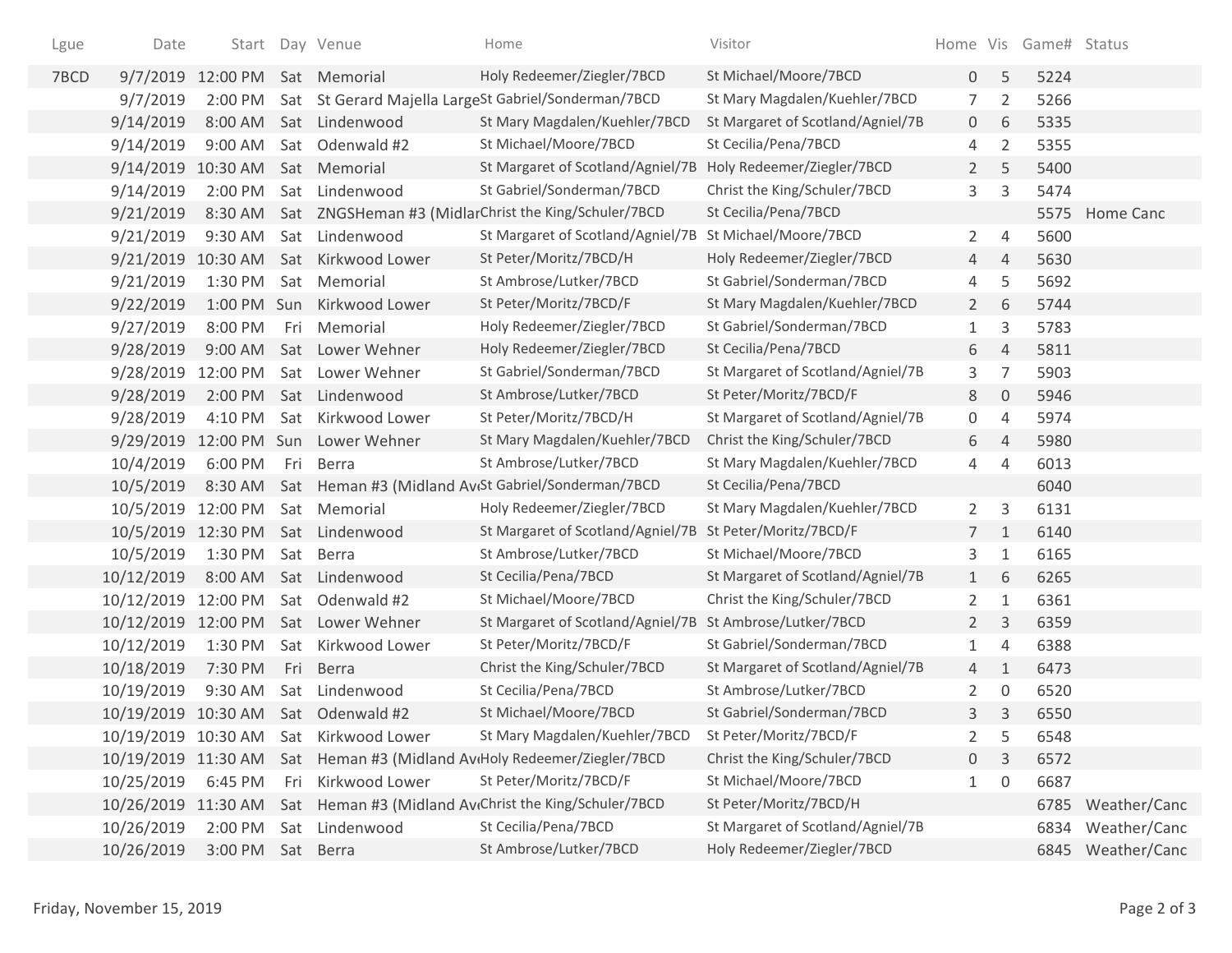| Lgue | Date                |                       |     | Start Day Venue                     | Home                                                               | Visitor                           |                |                | Home Vis Game# Status |                   |
|------|---------------------|-----------------------|-----|-------------------------------------|--------------------------------------------------------------------|-----------------------------------|----------------|----------------|-----------------------|-------------------|
| 7BCD | 9/7/2019            | 12:00 PM Sat Memorial |     |                                     | Holy Redeemer/Ziegler/7BCD                                         | St Michael/Moore/7BCD             | 0              | 5              | 5224                  |                   |
|      | 9/7/2019            | 2:00 PM               |     |                                     | Sat St Gerard Majella LargeSt Gabriel/Sonderman/7BCD               | St Mary Magdalen/Kuehler/7BCD     | $\overline{7}$ | 2              | 5266                  |                   |
|      | 9/14/2019           | 8:00 AM               |     | Sat Lindenwood                      | St Mary Magdalen/Kuehler/7BCD                                      | St Margaret of Scotland/Agniel/7B | 0              | 6              | 5335                  |                   |
|      | 9/14/2019           | 9:00 AM               |     | Sat Odenwald #2                     | St Michael/Moore/7BCD                                              | St Cecilia/Pena/7BCD              | 4              | 2              | 5355                  |                   |
|      | 9/14/2019           | 10:30 AM              |     | Sat Memorial                        | St Margaret of Scotland/Agniel/7B                                  | Holy Redeemer/Ziegler/7BCD        | $\overline{2}$ | 5              | 5400                  |                   |
|      | 9/14/2019           | 2:00 PM               |     | Sat Lindenwood                      | St Gabriel/Sonderman/7BCD                                          | Christ the King/Schuler/7BCD      | 3              | 3              | 5474                  |                   |
|      | 9/21/2019           | 8:30 AM               |     |                                     | Sat ZNGSHeman #3 (MidlarChrist the King/Schuler/7BCD               | St Cecilia/Pena/7BCD              |                |                |                       | 5575 Home Canc    |
|      | 9/21/2019           | 9:30 AM               |     | Sat Lindenwood                      | St Margaret of Scotland/Agniel/7B                                  | St Michael/Moore/7BCD             | $\mathbf{2}$   | $\overline{4}$ | 5600                  |                   |
|      | 9/21/2019           | 10:30 AM              |     | Sat Kirkwood Lower                  | St Peter/Moritz/7BCD/H                                             | Holy Redeemer/Ziegler/7BCD        | 4              | $\overline{4}$ | 5630                  |                   |
|      | 9/21/2019           | 1:30 PM               |     | Sat Memorial                        | St Ambrose/Lutker/7BCD                                             | St Gabriel/Sonderman/7BCD         | 4              | 5              | 5692                  |                   |
|      | 9/22/2019           |                       |     | 1:00 PM Sun Kirkwood Lower          | St Peter/Moritz/7BCD/F                                             | St Mary Magdalen/Kuehler/7BCD     | $2^{\circ}$    | 6              | 5744                  |                   |
|      | 9/27/2019           | 8:00 PM               | Fri | Memorial                            | Holy Redeemer/Ziegler/7BCD                                         | St Gabriel/Sonderman/7BCD         | 1              | 3              | 5783                  |                   |
|      | 9/28/2019           | 9:00 AM               |     | Sat Lower Wehner                    | Holy Redeemer/Ziegler/7BCD                                         | St Cecilia/Pena/7BCD              | 6              | $\overline{4}$ | 5811                  |                   |
|      | 9/28/2019           | 12:00 PM              |     | Sat Lower Wehner                    | St Gabriel/Sonderman/7BCD                                          | St Margaret of Scotland/Agniel/7B | 3              | 7              | 5903                  |                   |
|      | 9/28/2019           | 2:00 PM               |     | Sat Lindenwood                      | St Ambrose/Lutker/7BCD                                             | St Peter/Moritz/7BCD/F            | 8              | $\mathbf{0}$   | 5946                  |                   |
|      | 9/28/2019           | 4:10 PM               |     | Sat Kirkwood Lower                  | St Peter/Moritz/7BCD/H                                             | St Margaret of Scotland/Agniel/7B | 0              | 4              | 5974                  |                   |
|      | 9/29/2019           |                       |     | 12:00 PM Sun Lower Wehner           | St Mary Magdalen/Kuehler/7BCD                                      | Christ the King/Schuler/7BCD      | 6              | $\overline{4}$ | 5980                  |                   |
|      | 10/4/2019           | 6:00 PM               | Fri | Berra                               | St Ambrose/Lutker/7BCD                                             | St Mary Magdalen/Kuehler/7BCD     | 4              | $\overline{4}$ | 6013                  |                   |
|      | 10/5/2019           |                       |     |                                     | 8:30 AM Sat Heman #3 (Midland Av(St Gabriel/Sonderman/7BCD         | St Cecilia/Pena/7BCD              |                |                | 6040                  |                   |
|      | 10/5/2019           | 12:00 PM              |     | Sat Memorial                        | Holy Redeemer/Ziegler/7BCD                                         | St Mary Magdalen/Kuehler/7BCD     | $\mathbf{2}$   | 3              | 6131                  |                   |
|      | 10/5/2019           | 12:30 PM              |     | Sat Lindenwood                      | St Margaret of Scotland/Agniel/7B                                  | St Peter/Moritz/7BCD/F            | $7^{\circ}$    | $\mathbf{1}$   | 6140                  |                   |
|      | 10/5/2019           | 1:30 PM               |     | Sat Berra                           | St Ambrose/Lutker/7BCD                                             | St Michael/Moore/7BCD             | 3              | $\mathbf{1}$   | 6165                  |                   |
|      | 10/12/2019          | 8:00 AM               |     | Sat Lindenwood                      | St Cecilia/Pena/7BCD                                               | St Margaret of Scotland/Agniel/7B | 1              | 6              | 6265                  |                   |
|      | 10/12/2019          | 12:00 PM              |     | Sat Odenwald #2                     | St Michael/Moore/7BCD                                              | Christ the King/Schuler/7BCD      | $\overline{2}$ | $\mathbf{1}$   | 6361                  |                   |
|      | 10/12/2019          | 12:00 PM              |     | Sat Lower Wehner                    | St Margaret of Scotland/Agniel/7B                                  | St Ambrose/Lutker/7BCD            | $\overline{2}$ | 3              | 6359                  |                   |
|      | 10/12/2019          | 1:30 PM               |     | Sat Kirkwood Lower                  | St Peter/Moritz/7BCD/F                                             | St Gabriel/Sonderman/7BCD         | 1              | $\overline{4}$ | 6388                  |                   |
|      | 10/18/2019          | 7:30 PM               |     | Fri Berra                           | Christ the King/Schuler/7BCD                                       | St Margaret of Scotland/Agniel/7B | $\overline{4}$ | $\mathbf{1}$   | 6473                  |                   |
|      | 10/19/2019          | 9:30 AM               |     | Sat Lindenwood                      | St Cecilia/Pena/7BCD                                               | St Ambrose/Lutker/7BCD            | $\overline{2}$ | 0              | 6520                  |                   |
|      |                     |                       |     | 10/19/2019 10:30 AM Sat Odenwald #2 | St Michael/Moore/7BCD                                              | St Gabriel/Sonderman/7BCD         | 3              | 3              | 6550                  |                   |
|      | 10/19/2019 10:30 AM |                       |     | Sat Kirkwood Lower                  | St Mary Magdalen/Kuehler/7BCD                                      | St Peter/Moritz/7BCD/F            | 2              | 5              | 6548                  |                   |
|      | 10/19/2019 11:30 AM |                       |     |                                     | Sat Heman #3 (Midland AvtHoly Redeemer/Ziegler/7BCD                | Christ the King/Schuler/7BCD      | 0              | 3              | 6572                  |                   |
|      | 10/25/2019          | 6:45 PM               | Fri | Kirkwood Lower                      | St Peter/Moritz/7BCD/F                                             | St Michael/Moore/7BCD             | 1              | 0              | 6687                  |                   |
|      | 10/26/2019          | 11:30 AM              |     |                                     | Sat Heman #3 (Midland Av <sub>t</sub> Christ the King/Schuler/7BCD | St Peter/Moritz/7BCD/H            |                |                |                       | 6785 Weather/Canc |
|      | 10/26/2019          | 2:00 PM               |     | Sat Lindenwood                      | St Cecilia/Pena/7BCD                                               | St Margaret of Scotland/Agniel/7B |                |                |                       | 6834 Weather/Canc |
|      | 10/26/2019          | 3:00 PM               |     | Sat Berra                           | St Ambrose/Lutker/7BCD                                             | Holy Redeemer/Ziegler/7BCD        |                |                |                       | 6845 Weather/Canc |